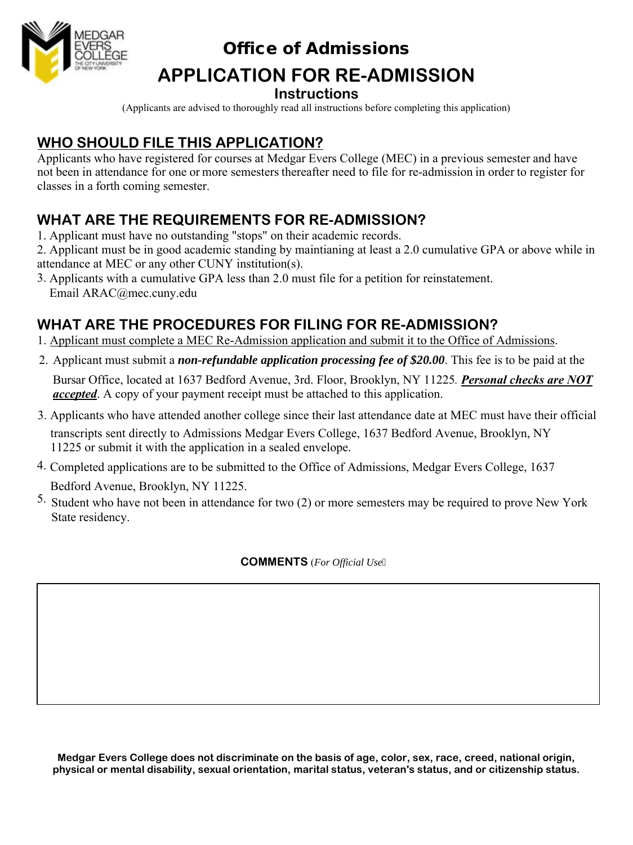

# Office of Admissions **APPLICATION FOR RE-ADMISSION**

#### **Instructions**

(Applicants are advised to thoroughly read all instructions before completing this application)

# **WHO SHOULD FILE THIS APPLICATION?**

Applicants who have registered for courses at Medgar Evers College (MEC) in a previous semester and have not been in attendance for one or more semesters thereafter need to file for re-admission in order to register for classes in a forth coming semester.

## **WHAT ARE THE REQUIREMENTS FOR RE-ADMISSION?**

- 1. Applicant must have no outstanding "stops" on their academic records.
- 2. Applicant must be in good academic standing by maintianing at least a 2.0 cumulative GPA or above while in attendance at MEC or any other CUNY institution(s).
- 3. Applicants with a cumulative GPA less than 2.0 must file for a petition for reinstatement. Email ARAC@mec.cuny.edu

## **WHAT ARE THE PROCEDURES FOR FILING FOR RE-ADMISSION?**

- 1. Applicant must complete a MEC Re-Admission application and submit it to the Office of Admissions.
- 2. Applicant must submit a *non-refundable application processing fee of \$20.00*. This fee is to be paid at the

Bursar Office, located at 1637 Bedford Avenue, 3rd. Floor, Brooklyn, NY 11225*. Personal checks are NOT accepted*. A copy of your payment receipt must be attached to this application.

- 3. Applicants who have attended another college since their last attendance date at MEC must have their official transcripts sent directly to Admissions Medgar Evers College, 1637 Bedford Avenue, Brooklyn, NY 11225 or submit it with the application in a sealed envelope.
- 4. Completed applications are to be submitted to the Office of Admissions, Medgar Evers College, 1637 Bedford Avenue, Brooklyn, NY 11225.
- 5. Student who have not been in attendance for two (2) or more semesters may be required to prove New York State residency.

**COMMENTS** (*For Official Use* 

**Medgar Evers College does not discriminate on the basis of age, color, sex, race, creed, national origin, physical or mental disability, sexual orientation, marital status, veteran's status, and or citizenship status.**